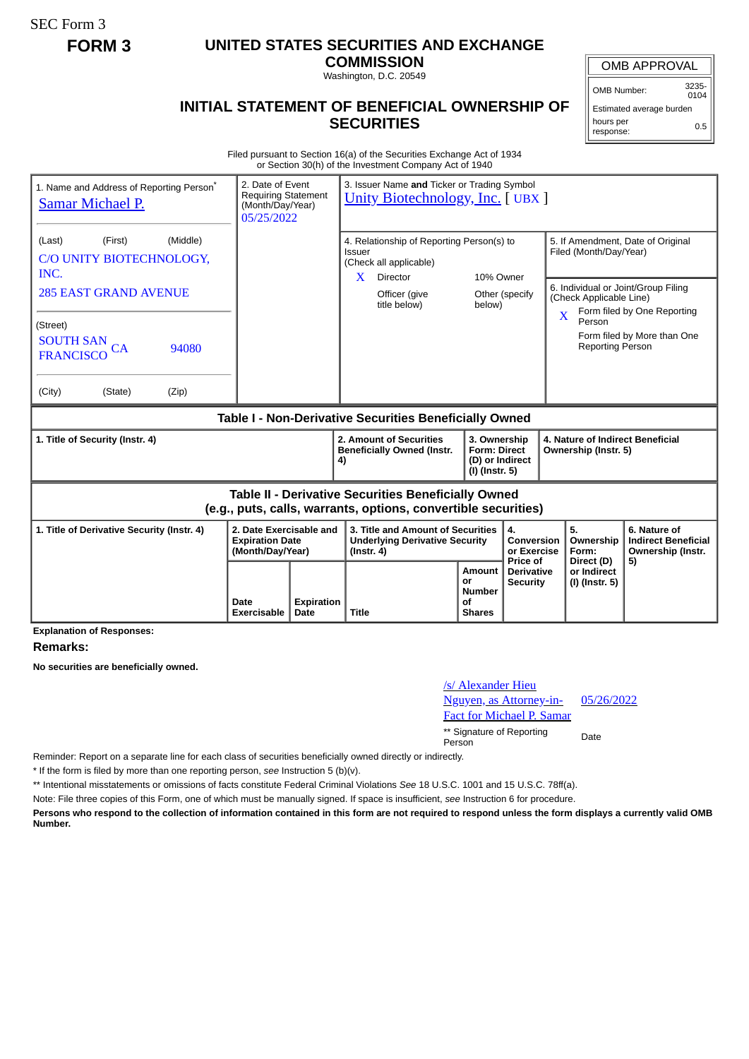SEC Form 3

## **FORM 3 UNITED STATES SECURITIES AND EXCHANGE**

**COMMISSION** Washington, D.C. 20549

## **INITIAL STATEMENT OF BENEFICIAL OWNERSHIP OF SECURITIES**

OMB APPROVAL

OMB Number: 3235- 0104

Estimated average burden hours per response: 0.5

Filed pursuant to Section 16(a) of the Securities Exchange Act of 1934 or Section 30(h) of the Investment Company Act of 1940

| 1. Name and Address of Reporting Person <sup>®</sup><br>Samar Michael P.                                                     | 2. Date of Event<br><b>Requiring Statement</b><br>(Month/Day/Year)<br>05/25/2022 |                           | 3. Issuer Name and Ticker or Trading Symbol<br><b>Unity Biotechnology, Inc. [ UBX ]</b>                           |                                                              |                                                                          |                                                       |                                                                                                                          |                                        |                                                                 |
|------------------------------------------------------------------------------------------------------------------------------|----------------------------------------------------------------------------------|---------------------------|-------------------------------------------------------------------------------------------------------------------|--------------------------------------------------------------|--------------------------------------------------------------------------|-------------------------------------------------------|--------------------------------------------------------------------------------------------------------------------------|----------------------------------------|-----------------------------------------------------------------|
| (First)<br>(Middle)<br>(Last)<br>C/O UNITY BIOTECHNOLOGY,<br>INC.                                                            |                                                                                  |                           | 4. Relationship of Reporting Person(s) to<br><b>Issuer</b><br>(Check all applicable)<br>$\mathbf{X}$<br>10% Owner |                                                              |                                                                          |                                                       | 5. If Amendment, Date of Original<br>Filed (Month/Day/Year)                                                              |                                        |                                                                 |
| <b>285 EAST GRAND AVENUE</b>                                                                                                 |                                                                                  |                           |                                                                                                                   | Director<br>Officer (give<br>title below)                    | below)                                                                   | Other (specify)                                       | 6. Individual or Joint/Group Filing<br>(Check Applicable Line)<br>Form filed by One Reporting<br>$\overline{\mathbf{X}}$ |                                        |                                                                 |
| (Street)<br><b>SOUTH SAN</b><br>94080<br>CА<br><b>FRANCISCO</b>                                                              |                                                                                  |                           |                                                                                                                   |                                                              |                                                                          |                                                       |                                                                                                                          | Person<br><b>Reporting Person</b>      | Form filed by More than One                                     |
| (City)<br>(State)<br>(Zip)                                                                                                   |                                                                                  |                           |                                                                                                                   |                                                              |                                                                          |                                                       |                                                                                                                          |                                        |                                                                 |
| Table I - Non-Derivative Securities Beneficially Owned                                                                       |                                                                                  |                           |                                                                                                                   |                                                              |                                                                          |                                                       |                                                                                                                          |                                        |                                                                 |
| 1. Title of Security (Instr. 4)                                                                                              |                                                                                  |                           | 4)                                                                                                                | 2. Amount of Securities<br><b>Beneficially Owned (Instr.</b> | 3. Ownership<br><b>Form: Direct</b><br>(D) or Indirect<br>(I) (Instr. 5) |                                                       | 4. Nature of Indirect Beneficial<br>Ownership (Instr. 5)                                                                 |                                        |                                                                 |
| <b>Table II - Derivative Securities Beneficially Owned</b><br>(e.g., puts, calls, warrants, options, convertible securities) |                                                                                  |                           |                                                                                                                   |                                                              |                                                                          |                                                       |                                                                                                                          |                                        |                                                                 |
| 1. Title of Derivative Security (Instr. 4)                                                                                   | 2. Date Exercisable and<br><b>Expiration Date</b><br>(Month/Day/Year)            |                           | 3. Title and Amount of Securities<br><b>Underlying Derivative Security</b><br>$($ lnstr. 4 $)$                    |                                                              |                                                                          | $\mathbf{4}$<br>Conversion<br>or Exercise<br>Price of |                                                                                                                          | 5.<br>Ownership<br>Form:<br>Direct (D) | 6. Nature of<br><b>Indirect Beneficial</b><br>Ownership (Instr. |
|                                                                                                                              | Date<br>Exercisable                                                              | <b>Expiration</b><br>Date | <b>Title</b>                                                                                                      |                                                              | Amount<br>or<br><b>Number</b><br>Ωf<br><b>Shares</b>                     | <b>Derivative</b><br><b>Security</b>                  |                                                                                                                          | or Indirect<br>(I) (Instr. 5)          | 5)                                                              |

**Explanation of Responses:**

## **Remarks:**

**No securities are beneficially owned.**

| <u>/s/ Alexander Hieu</u>             |  |
|---------------------------------------|--|
| Nguyen, as Attorney-in-<br>05/26/2022 |  |
| Fact for Michael P. Samar             |  |
|                                       |  |

\*\* Signature of Reporting Person Date

Reminder: Report on a separate line for each class of securities beneficially owned directly or indirectly.

\* If the form is filed by more than one reporting person, *see* Instruction 5 (b)(v).

\*\* Intentional misstatements or omissions of facts constitute Federal Criminal Violations *See* 18 U.S.C. 1001 and 15 U.S.C. 78ff(a).

Note: File three copies of this Form, one of which must be manually signed. If space is insufficient, *see* Instruction 6 for procedure.

**Persons who respond to the collection of information contained in this form are not required to respond unless the form displays a currently valid OMB Number.**